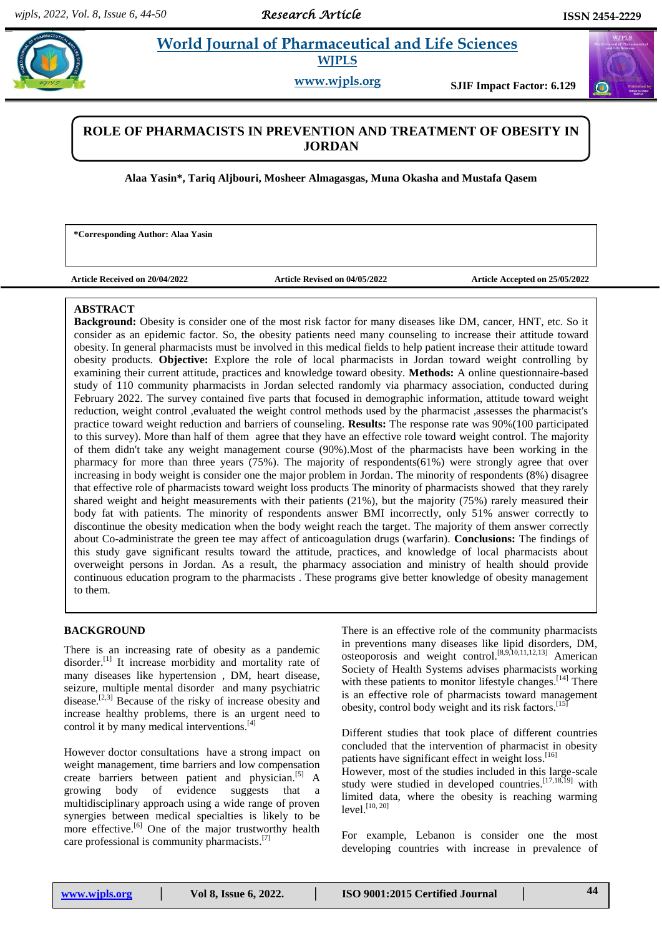# **Paradonal Science and World Journal of Pharmaceutical and Life Sciences WJPLS**

**www.wjpls.org SJIF Impact Factor: 6.129**

# **ROLE OF PHARMACISTS IN PREVENTION AND TREATMENT OF OBESITY IN JORDAN**

**Alaa Yasin\*, Tariq Aljbouri, Mosheer Almagasgas, Muna Okasha and Mustafa Qasem**

**\*Corresponding Author: Alaa Yasin**

**Article Received on 20/04/2022 Article Revised on 04/05/2022 Article Accepted on 25/05/2022**

# **ABSTRACT**

**Background:** Obesity is consider one of the most risk factor for many diseases like DM, cancer, HNT, etc. So it consider as an epidemic factor. So, the obesity patients need many counseling to increase their attitude toward obesity. In general pharmacists must be involved in this medical fields to help patient increase their attitude toward obesity products. **Objective:** Explore the role of local pharmacists in Jordan toward weight controlling by examining their current attitude, practices and knowledge toward obesity. **Methods:** A online questionnaire-based study of 110 community pharmacists in Jordan selected randomly via pharmacy association, conducted during February 2022. The survey contained five parts that focused in demographic information, attitude toward weight reduction, weight control ,evaluated the weight control methods used by the pharmacist ,assesses the pharmacist's practice toward weight reduction and barriers of counseling. **Results:** The response rate was 90%(100 participated to this survey). More than half of them agree that they have an effective role toward weight control. The majority of them didn't take any weight management course (90%).Most of the pharmacists have been working in the pharmacy for more than three years (75%). The majority of respondents(61%) were strongly agree that over increasing in body weight is consider one the major problem in Jordan. The minority of respondents (8%) disagree that effective role of pharmacists toward weight loss products The minority of pharmacists showed that they rarely shared weight and height measurements with their patients (21%), but the majority (75%) rarely measured their body fat with patients. The minority of respondents answer BMI incorrectly, only 51% answer correctly to discontinue the obesity medication when the body weight reach the target. The majority of them answer correctly about Co-administrate the green tee may affect of anticoagulation drugs (warfarin). **Conclusions:** The findings of this study gave significant results toward the attitude, practices, and knowledge of local pharmacists about overweight persons in Jordan. As a result, the pharmacy association and ministry of health should provide continuous education program to the pharmacists . These programs give better knowledge of obesity management to them.

# **BACKGROUND**

There is an increasing rate of obesity as a pandemic disorder.<sup>[1]</sup> It increase morbidity and mortality rate of many diseases like hypertension , DM, heart disease, seizure, multiple mental disorder and many psychiatric disease.<sup>[2,3]</sup> Because of the risky of increase obesity and increase healthy problems, there is an urgent need to control it by many medical interventions. [4]

**KEYWORDS:** DM, cancer, HNT, etc., HNT, etc., HNT, etc., HNT, etc., HNT, etc., HNT, etc., HNT, etc., HNT, etc., HNT, etc., HNT, etc., HNT, etc., HNT, etc., HNT, etc., HNT, etc., HNT, etc., HNT, etc., HNT, etc., HNT, etc.,

However doctor consultations have a strong impact on weight management, time barriers and low compensation create barriers between patient and physician.<sup>[5]</sup> A growing body of evidence suggests that a multidisciplinary approach using a wide range of proven synergies between medical specialties is likely to be more effective.<sup>[6]</sup> One of the major trustworthy health care professional is community pharmacists.<sup>[7]</sup>

There is an effective role of the community pharmacists in preventions many diseases like lipid disorders, DM, osteoporosis and weight control. [8,9,10,11,12,13] American Society of Health Systems advises pharmacists working with these patients to monitor lifestyle changes.<sup>[14]</sup> There is an effective role of pharmacists toward management obesity, control body weight and its risk factors.<sup>[15]</sup>

Different studies that took place of different countries concluded that the intervention of pharmacist in obesity patients have significant effect in weight loss.<sup>[16]</sup>

However, most of the studies included in this large-scale study were studied in developed countries.<sup>[17,18,19]</sup> with limited data, where the obesity is reaching warming level. [10, 20]

For example, Lebanon is consider one the most developing countries with increase in prevalence of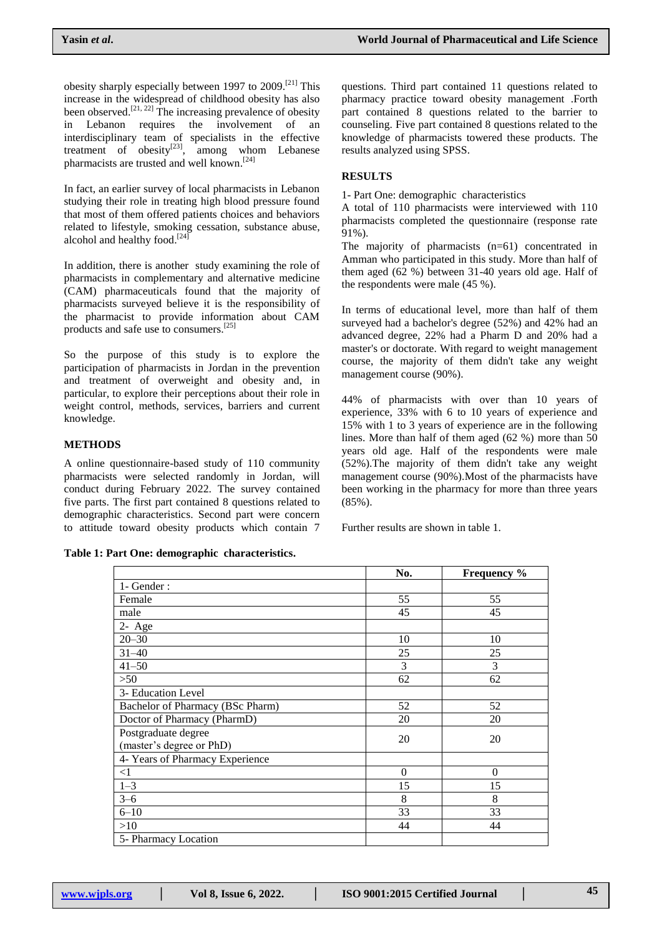obesity sharply especially between 1997 to 2009.<sup>[21]</sup> This increase in the widespread of childhood obesity has also been observed.<sup>[21, 22]</sup> The increasing prevalence of obesity in Lebanon requires the involvement of an interdisciplinary team of specialists in the effective treatment of obesity<sup>[23]</sup>, among whom Lebanese pharmacists are trusted and well known.<sup>[24]</sup>

In fact, an earlier survey of local pharmacists in Lebanon studying their role in treating high blood pressure found that most of them offered patients choices and behaviors related to lifestyle, smoking cessation, substance abuse, alcohol and healthy food.<sup>[24]</sup>

In addition, there is another study examining the role of pharmacists in complementary and alternative medicine (CAM) pharmaceuticals found that the majority of pharmacists surveyed believe it is the responsibility of the pharmacist to provide information about CAM products and safe use to consumers. [25]

So the purpose of this study is to explore the participation of pharmacists in Jordan in the prevention and treatment of overweight and obesity and, in particular, to explore their perceptions about their role in weight control, methods, services, barriers and current knowledge.

# **METHODS**

A online questionnaire-based study of 110 community pharmacists were selected randomly in Jordan, will conduct during February 2022. The survey contained five parts. The first part contained 8 questions related to demographic characteristics. Second part were concern to attitude toward obesity products which contain 7

**Table 1: Part One: demographic characteristics.**

questions. Third part contained 11 questions related to pharmacy practice toward obesity management .Forth part contained 8 questions related to the barrier to counseling. Five part contained 8 questions related to the knowledge of pharmacists towered these products. The results analyzed using SPSS.

# **RESULTS**

1- Part One: demographic characteristics

A total of 110 pharmacists were interviewed with 110 pharmacists completed the questionnaire (response rate 91%).

The majority of pharmacists (n=61) concentrated in Amman who participated in this study. More than half of them aged (62 %) between 31-40 years old age. Half of the respondents were male (45 %).

In terms of educational level, more than half of them surveyed had a bachelor's degree (52%) and 42% had an advanced degree, 22% had a Pharm D and 20% had a master's or doctorate. With regard to weight management course, the majority of them didn't take any weight management course (90%).

44% of pharmacists with over than 10 years of experience, 33% with 6 to 10 years of experience and 15% with 1 to 3 years of experience are in the following lines. More than half of them aged (62 %) more than 50 years old age. Half of the respondents were male (52%).The majority of them didn't take any weight management course (90%).Most of the pharmacists have been working in the pharmacy for more than three years (85%).

Further results are shown in table 1.

|                                                 | No.      | <b>Frequency</b> % |
|-------------------------------------------------|----------|--------------------|
| 1- Gender:                                      |          |                    |
| Female                                          | 55       | 55                 |
| male                                            | 45       | 45                 |
| $2 - Age$                                       |          |                    |
| $20 - 30$                                       | 10       | 10                 |
| $31 - 40$                                       | 25       | 25                 |
| $41 - 50$                                       | 3        | 3                  |
| >50                                             | 62       | 62                 |
| 3- Education Level                              |          |                    |
| Bachelor of Pharmacy (BSc Pharm)                | 52       | 52                 |
| Doctor of Pharmacy (PharmD)                     | 20       | 20                 |
| Postgraduate degree<br>(master's degree or PhD) | 20       | 20                 |
| 4- Years of Pharmacy Experience                 |          |                    |
| $\leq$ 1                                        | $\Omega$ | $\theta$           |
| $1 - 3$                                         | 15       | 15                 |
| $3 - 6$                                         | 8        | 8                  |
| $6 - 10$                                        | 33       | 33                 |
| >10                                             | 44       | 44                 |
| 5- Pharmacy Location                            |          |                    |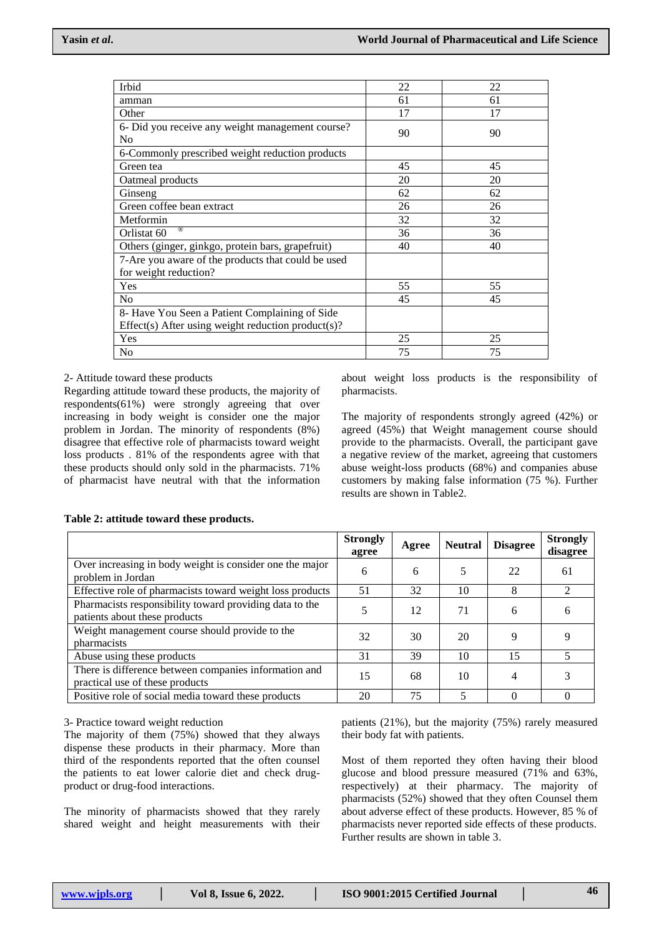| Irbid                                                  | 22 | 22 |
|--------------------------------------------------------|----|----|
| amman                                                  | 61 | 61 |
| Other                                                  | 17 | 17 |
| 6- Did you receive any weight management course?<br>No | 90 | 90 |
| 6-Commonly prescribed weight reduction products        |    |    |
| Green tea                                              | 45 | 45 |
| Oatmeal products                                       | 20 | 20 |
| Ginseng                                                | 62 | 62 |
| Green coffee bean extract                              | 26 | 26 |
| Metformin                                              | 32 | 32 |
| (R)<br>Orlistat 60                                     | 36 | 36 |
| Others (ginger, ginkgo, protein bars, grapefruit)      | 40 | 40 |
| 7-Are you aware of the products that could be used     |    |    |
| for weight reduction?                                  |    |    |
| Yes                                                    | 55 | 55 |
| N <sub>o</sub>                                         | 45 | 45 |
| 8- Have You Seen a Patient Complaining of Side         |    |    |
| Effect(s) After using weight reduction product(s)?     |    |    |
| Yes                                                    | 25 | 25 |
| No                                                     | 75 | 75 |

### 2- Attitude toward these products

Regarding attitude toward these products, the majority of respondents(61%) were strongly agreeing that over increasing in body weight is consider one the major problem in Jordan. The minority of respondents (8%) disagree that effective role of pharmacists toward weight loss products . 81% of the respondents agree with that these products should only sold in the pharmacists. 71% of pharmacist have neutral with that the information

about weight loss products is the responsibility of pharmacists.

The majority of respondents strongly agreed (42%) or agreed (45%) that Weight management course should provide to the pharmacists. Overall, the participant gave a negative review of the market, agreeing that customers abuse weight-loss products (68%) and companies abuse customers by making false information (75 %). Further results are shown in Table2.

|                                                                                          | <b>Strongly</b><br>agree | Agree | <b>Neutral</b> | <b>Disagree</b> | <b>Strongly</b><br>disagree |
|------------------------------------------------------------------------------------------|--------------------------|-------|----------------|-----------------|-----------------------------|
| Over increasing in body weight is consider one the major<br>problem in Jordan            | 6                        | 6     | 5              | 22              | 61                          |
| Effective role of pharmacists toward weight loss products                                | 51                       | 32    | 10             | 8               | 2                           |
| Pharmacists responsibility toward providing data to the<br>patients about these products |                          | 12    | 71             | 6               | 6                           |
| Weight management course should provide to the<br>pharmacists                            | 32                       | 30    | 20             | 9               |                             |
| Abuse using these products                                                               | 31                       | 39    | 10             | 15              |                             |
| There is difference between companies information and<br>practical use of these products | 15                       | 68    | 10             | 4               |                             |
| Positive role of social media toward these products                                      | 20                       | 75    | 5              |                 |                             |

### **Table 2: attitude toward these products.**

3- Practice toward weight reduction

The majority of them (75%) showed that they always dispense these products in their pharmacy. More than third of the respondents reported that the often counsel the patients to eat lower calorie diet and check drugproduct or drug-food interactions.

The minority of pharmacists showed that they rarely shared weight and height measurements with their

patients (21%), but the majority (75%) rarely measured their body fat with patients.

Most of them reported they often having their blood glucose and blood pressure measured (71% and 63%, respectively) at their pharmacy. The majority of pharmacists (52%) showed that they often Counsel them about adverse effect of these products. However, 85 % of pharmacists never reported side effects of these products. Further results are shown in table 3.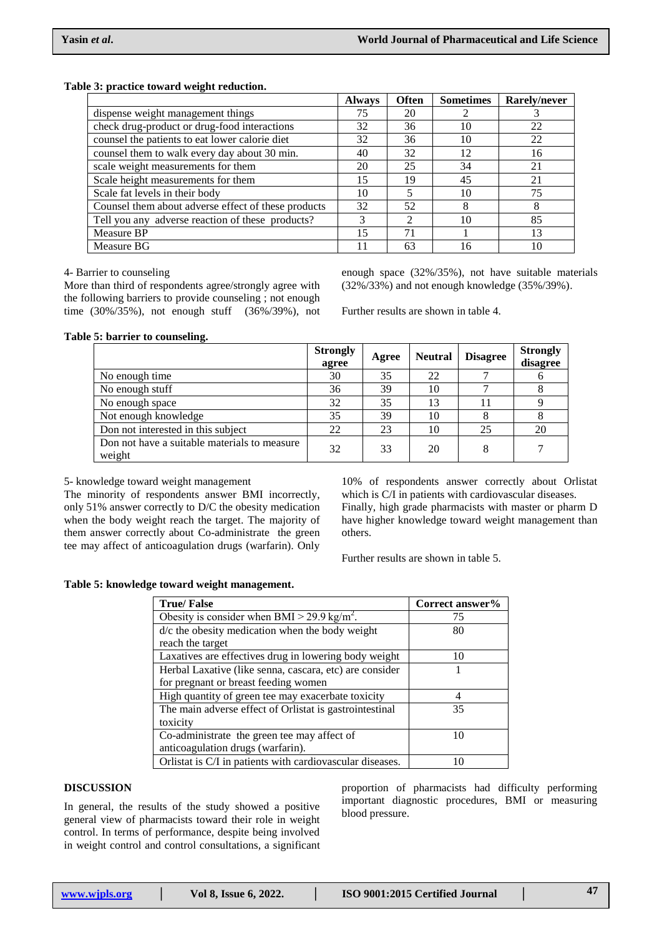#### **Table 3: practice toward weight reduction.**

|                                                     | <b>Always</b> | <b>Often</b>                | <b>Sometimes</b> | Rarely/never |
|-----------------------------------------------------|---------------|-----------------------------|------------------|--------------|
| dispense weight management things                   | 75            | 20                          |                  |              |
| check drug-product or drug-food interactions        | 32            | 36                          | 10               | 22           |
| counsel the patients to eat lower calorie diet      | 32            | 36                          | 10               | 22           |
| counsel them to walk every day about 30 min.        | 40            | 32                          | 12               | 16           |
| scale weight measurements for them                  | 20            | 25                          | 34               | 21           |
| Scale height measurements for them                  | 15            | 19                          | 45               | 21           |
| Scale fat levels in their body                      | 10            |                             | 10               | 75           |
| Counsel them about adverse effect of these products | 32            | 52                          | 8                | 8            |
| Tell you any adverse reaction of these products?    | 3             | $\mathcal{D}_{\mathcal{L}}$ | 10               | 85           |
| Measure BP                                          | 15            | 71                          |                  | 13           |
| Measure BG                                          | 11            | 63                          | 16               | 10           |

#### 4- Barrier to counseling

More than third of respondents agree/strongly agree with the following barriers to provide counseling ; not enough time (30%/35%), not enough stuff (36%/39%), not

enough space (32%/35%), not have suitable materials (32%/33%) and not enough knowledge (35%/39%).

Further results are shown in table 4.

#### **Table 5: barrier to counseling.**

|                                                        | <b>Strongly</b><br>agree | Agree | <b>Neutral</b> | <b>Disagree</b> | <b>Strongly</b><br>disagree |
|--------------------------------------------------------|--------------------------|-------|----------------|-----------------|-----------------------------|
| No enough time                                         | 30                       | 35    | 22             |                 |                             |
| No enough stuff                                        | 36                       | 39    | 10             |                 |                             |
| No enough space                                        | 32                       | 35    | 13             |                 |                             |
| Not enough knowledge                                   | 35                       | 39    | 10             |                 | Õ                           |
| Don not interested in this subject                     | 22                       | 23    | 10             | 25              | 20                          |
| Don not have a suitable materials to measure<br>weight | 32                       | 33    | 20             |                 |                             |

5- knowledge toward weight management

The minority of respondents answer BMI incorrectly, only 51% answer correctly to D/C the obesity medication when the body weight reach the target. The majority of them answer correctly about Co-administrate the green tee may affect of anticoagulation drugs (warfarin). Only

10% of respondents answer correctly about Orlistat which is C/I in patients with cardiovascular diseases. Finally, high grade pharmacists with master or pharm D have higher knowledge toward weight management than others.

Further results are shown in table 5.

#### **Table 5: knowledge toward weight management.**

| <b>True/False</b>                                         | Correct answer% |
|-----------------------------------------------------------|-----------------|
| Obesity is consider when BMI > 29.9 kg/m <sup>2</sup> .   | 75              |
| d/c the obesity medication when the body weight           | 80              |
| reach the target                                          |                 |
| Laxatives are effectives drug in lowering body weight     | 10              |
| Herbal Laxative (like senna, cascara, etc) are consider   |                 |
| for pregnant or breast feeding women                      |                 |
| High quantity of green tee may exacerbate toxicity        | 4               |
| The main adverse effect of Orlistat is gastrointestinal   | 35              |
| toxicity                                                  |                 |
| Co-administrate the green tee may affect of               | 10              |
| anticoagulation drugs (warfarin).                         |                 |
| Orlistat is C/I in patients with cardiovascular diseases. |                 |

## **DISCUSSION**

In general, the results of the study showed a positive general view of pharmacists toward their role in weight control. In terms of performance, despite being involved in weight control and control consultations, a significant

proportion of pharmacists had difficulty performing important diagnostic procedures, BMI or measuring blood pressure.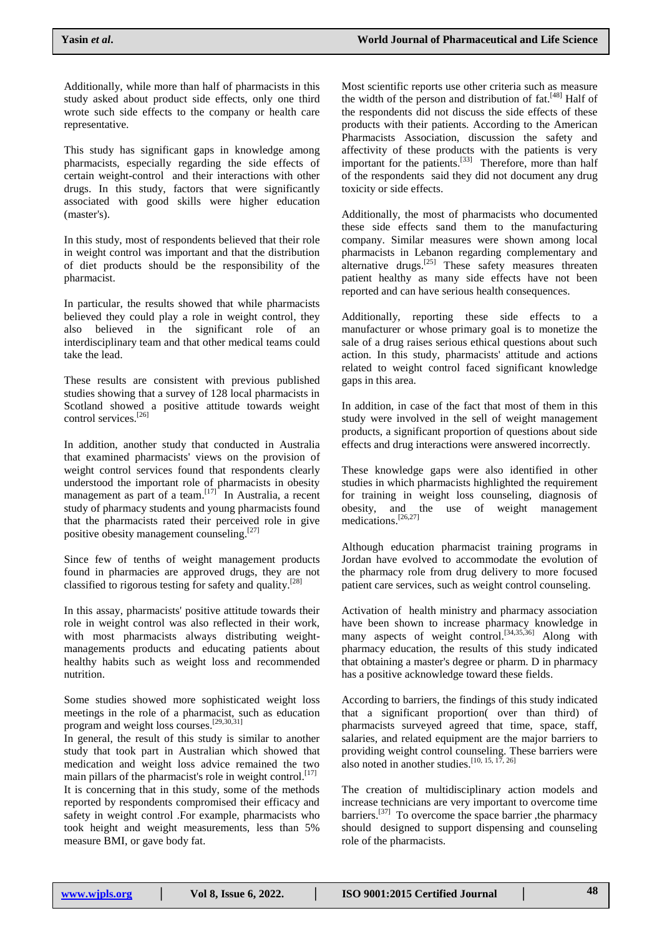Additionally, while more than half of pharmacists in this study asked about product side effects, only one third wrote such side effects to the company or health care representative.

This study has significant gaps in knowledge among pharmacists, especially regarding the side effects of certain weight-control and their interactions with other drugs. In this study, factors that were significantly associated with good skills were higher education (master's).

In this study, most of respondents believed that their role in weight control was important and that the distribution of diet products should be the responsibility of the pharmacist.

In particular, the results showed that while pharmacists believed they could play a role in weight control, they also believed in the significant role of an interdisciplinary team and that other medical teams could take the lead.

These results are consistent with previous published studies showing that a survey of 128 local pharmacists in Scotland showed a positive attitude towards weight control services. [26]

In addition, another study that conducted in Australia that examined pharmacists' views on the provision of weight control services found that respondents clearly understood the important role of pharmacists in obesity management as part of a team.<sup>[17]</sup> In Australia, a recent study of pharmacy students and young pharmacists found that the pharmacists rated their perceived role in give positive obesity management counseling.<sup>[27]</sup>

Since few of tenths of weight management products found in pharmacies are approved drugs, they are not classified to rigorous testing for safety and quality. [28]

In this assay, pharmacists' positive attitude towards their role in weight control was also reflected in their work, with most pharmacists always distributing weightmanagements products and educating patients about healthy habits such as weight loss and recommended nutrition.

Some studies showed more sophisticated weight loss meetings in the role of a pharmacist, such as education program and weight loss courses.<sup>[29,30,31]</sup>

In general, the result of this study is similar to another study that took part in Australian which showed that medication and weight loss advice remained the two main pillars of the pharmacist's role in weight control.<sup>[17]</sup> It is concerning that in this study, some of the methods

reported by respondents compromised their efficacy and safety in weight control .For example, pharmacists who took height and weight measurements, less than 5% measure BMI, or gave body fat.

Most scientific reports use other criteria such as measure the width of the person and distribution of fat.<sup>[48]</sup> Half of the respondents did not discuss the side effects of these products with their patients. According to the American Pharmacists Association, discussion the safety and affectivity of these products with the patients is very important for the patients.<sup>[33]</sup> Therefore, more than half of the respondents said they did not document any drug toxicity or side effects.

Additionally, the most of pharmacists who documented these side effects sand them to the manufacturing company. Similar measures were shown among local pharmacists in Lebanon regarding complementary and  $\alpha$ lternative drugs.<sup>[25]</sup> These safety measures threaten patient healthy as many side effects have not been reported and can have serious health consequences.

Additionally, reporting these side effects to a manufacturer or whose primary goal is to monetize the sale of a drug raises serious ethical questions about such action. In this study, pharmacists' attitude and actions related to weight control faced significant knowledge gaps in this area.

In addition, in case of the fact that most of them in this study were involved in the sell of weight management products, a significant proportion of questions about side effects and drug interactions were answered incorrectly.

These knowledge gaps were also identified in other studies in which pharmacists highlighted the requirement for training in weight loss counseling, diagnosis of obesity, and the use of weight management medications. [26,27]

Although education pharmacist training programs in Jordan have evolved to accommodate the evolution of the pharmacy role from drug delivery to more focused patient care services, such as weight control counseling.

Activation of health ministry and pharmacy association have been shown to increase pharmacy knowledge in many aspects of weight control.<sup>[34,35,36]</sup> Along with pharmacy education, the results of this study indicated that obtaining a master's degree or pharm. D in pharmacy has a positive acknowledge toward these fields.

According to barriers, the findings of this study indicated that a significant proportion( over than third) of pharmacists surveyed agreed that time, space, staff, salaries, and related equipment are the major barriers to providing weight control counseling. These barriers were also noted in another studies.  $[10, 15, 17, 26]$  $[10, 15, 17, 26]$  $[10, 15, 17, 26]$  $[10, 15, 17, 26]$  $[10, 15, 17, 26]$  $[10, 15, 17, 26]$  $[10, 15, 17, 26]$ 

The creation of multidisciplinary action models and increase technicians are very important to overcome time barriers.<sup>[37]</sup> To overcome the space barrier, the pharmacy should designed to support dispensing and counseling role of the pharmacists.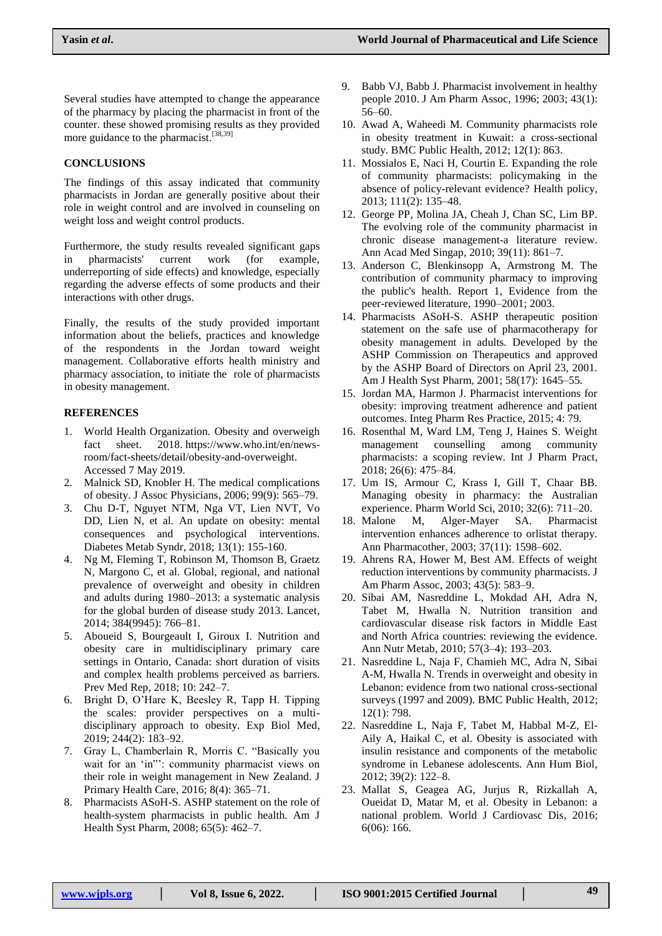Several studies have attempted to change the appearance of the pharmacy by placing the pharmacist in front of the counter. these showed promising results as they provided more guidance to the pharmacist.<sup>[38,39]</sup>

# **CONCLUSIONS**

The findings of this assay indicated that community pharmacists in Jordan are generally positive about their role in weight control and are involved in counseling on weight loss and weight control products.

Furthermore, the study results revealed significant gaps in pharmacists' current work (for example, underreporting of side effects) and knowledge, especially regarding the adverse effects of some products and their interactions with other drugs.

Finally, the results of the study provided important information about the beliefs, practices and knowledge of the respondents in the Jordan toward weight management. Collaborative efforts health ministry and pharmacy association, to initiate the role of pharmacists in obesity management.

# **REFERENCES**

- 1. World Health Organization. Obesity and overweigh fact sheet. 2018. [https://www.who.int/en/news](https://www.who.int/en/news-room/fact-sheets/detail/obesity-and-overweight)[room/fact-sheets/detail/obesity-and-overweight.](https://www.who.int/en/news-room/fact-sheets/detail/obesity-and-overweight) Accessed 7 May 2019.
- 2. Malnick SD, Knobler H. The medical complications of obesity. J Assoc Physicians, 2006; 99(9): 565–79.
- 3. Chu D-T, Nguyet NTM, Nga VT, Lien NVT, Vo DD, Lien N, et al. An update on obesity: mental consequences and psychological interventions. Diabetes Metab Syndr, 2018; 13(1): 155-160.
- 4. Ng M, Fleming T, Robinson M, Thomson B, Graetz N, Margono C, et al. Global, regional, and national prevalence of overweight and obesity in children and adults during 1980–2013: a systematic analysis for the global burden of disease study 2013. Lancet, 2014; 384(9945): 766–81.
- 5. Aboueid S, Bourgeault I, Giroux I. Nutrition and obesity care in multidisciplinary primary care settings in Ontario, Canada: short duration of visits and complex health problems perceived as barriers. Prev Med Rep, 2018; 10: 242–7.
- 6. Bright D, O"Hare K, Beesley R, Tapp H. Tipping the scales: provider perspectives on a multidisciplinary approach to obesity. Exp Biol Med, 2019; 244(2): 183–92.
- 7. Gray L, Chamberlain R, Morris C. "Basically you wait for an 'in'": community pharmacist views on their role in weight management in New Zealand. J Primary Health Care, 2016; 8(4): 365–71.
- 8. Pharmacists ASoH-S. ASHP statement on the role of health-system pharmacists in public health. Am J Health Syst Pharm, 2008; 65(5): 462–7.
- 9. Babb VJ, Babb J. Pharmacist involvement in healthy people 2010. J Am Pharm Assoc, 1996; 2003; 43(1): 56–60.
- 10. Awad A, Waheedi M. Community pharmacists role in obesity treatment in Kuwait: a cross-sectional study. BMC Public Health, 2012; 12(1): 863.
- 11. Mossialos E, Naci H, Courtin E. Expanding the role of community pharmacists: policymaking in the absence of policy-relevant evidence? Health policy, 2013; 111(2): 135–48.
- 12. George PP, Molina JA, Cheah J, Chan SC, Lim BP. The evolving role of the community pharmacist in chronic disease management-a literature review. Ann Acad Med Singap, 2010; 39(11): 861–7.
- 13. Anderson C, Blenkinsopp A, Armstrong M. The contribution of community pharmacy to improving the public's health. Report 1, Evidence from the peer-reviewed literature, 1990–2001; 2003.
- 14. Pharmacists ASoH-S. ASHP therapeutic position statement on the safe use of pharmacotherapy for obesity management in adults. Developed by the ASHP Commission on Therapeutics and approved by the ASHP Board of Directors on April 23, 2001. Am J Health Syst Pharm, 2001; 58(17): 1645–55.
- 15. Jordan MA, Harmon J. Pharmacist interventions for obesity: improving treatment adherence and patient outcomes. Integ Pharm Res Practice, 2015; 4: 79.
- 16. Rosenthal M, Ward LM, Teng J, Haines S. Weight management counselling among community pharmacists: a scoping review. Int J Pharm Pract, 2018; 26(6): 475–84.
- 17. Um IS, Armour C, Krass I, Gill T, Chaar BB. Managing obesity in pharmacy: the Australian experience. Pharm World Sci, 2010; 32(6): 711–20.
- 18. Malone M, Alger-Mayer SA. Pharmacist intervention enhances adherence to orlistat therapy. Ann Pharmacother, 2003; 37(11): 1598–602.
- 19. Ahrens RA, Hower M, Best AM. Effects of weight reduction interventions by community pharmacists. J Am Pharm Assoc, 2003; 43(5): 583–9.
- 20. Sibai AM, Nasreddine L, Mokdad AH, Adra N, Tabet M, Hwalla N. Nutrition transition and cardiovascular disease risk factors in Middle East and North Africa countries: reviewing the evidence. Ann Nutr Metab, 2010; 57(3–4): 193–203.
- 21. Nasreddine L, Naja F, Chamieh MC, Adra N, Sibai A-M, Hwalla N. Trends in overweight and obesity in Lebanon: evidence from two national cross-sectional surveys (1997 and 2009). BMC Public Health, 2012; 12(1): 798.
- 22. Nasreddine L, Naja F, Tabet M, Habbal M-Z, El-Aily A, Haikal C, et al. Obesity is associated with insulin resistance and components of the metabolic syndrome in Lebanese adolescents. Ann Hum Biol, 2012; 39(2): 122–8.
- 23. Mallat S, Geagea AG, Jurjus R, Rizkallah A, Oueidat D, Matar M, et al. Obesity in Lebanon: a national problem. World J Cardiovasc Dis, 2016; 6(06): 166.